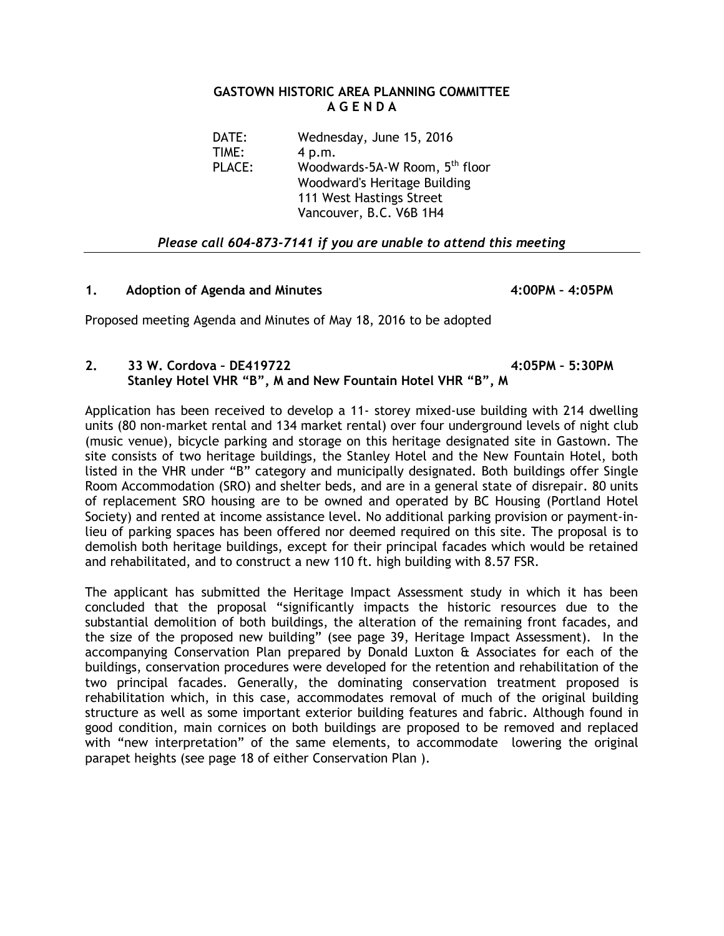#### **GASTOWN HISTORIC AREA PLANNING COMMITTEE A G E N D A**

DATE: Wednesday, June 15, 2016 TIME: 4 p.m. PLACE: Woodwards-5A-W Room, 5<sup>th</sup> floor Woodward's Heritage Building 111 West Hastings Street Vancouver, B.C. V6B 1H4

### *Please call 604-873-7141 if you are unable to attend this meeting*

#### **1. Adoption of Agenda and Minutes 4:00PM – 4:05PM**

Proposed meeting Agenda and Minutes of May 18, 2016 to be adopted

## **2. 33 W. Cordova – DE419722 4:05PM – 5:30PM Stanley Hotel VHR "B", M and New Fountain Hotel VHR "B", M**

Application has been received to develop a 11- storey mixed-use building with 214 dwelling units (80 non-market rental and 134 market rental) over four underground levels of night club (music venue), bicycle parking and storage on this heritage designated site in Gastown. The site consists of two heritage buildings, the Stanley Hotel and the New Fountain Hotel, both listed in the VHR under "B" category and municipally designated. Both buildings offer Single Room Accommodation (SRO) and shelter beds, and are in a general state of disrepair. 80 units of replacement SRO housing are to be owned and operated by BC Housing (Portland Hotel Society) and rented at income assistance level. No additional parking provision or payment-inlieu of parking spaces has been offered nor deemed required on this site. The proposal is to demolish both heritage buildings, except for their principal facades which would be retained and rehabilitated, and to construct a new 110 ft. high building with 8.57 FSR.

The applicant has submitted the Heritage Impact Assessment study in which it has been concluded that the proposal "significantly impacts the historic resources due to the substantial demolition of both buildings, the alteration of the remaining front facades, and the size of the proposed new building" (see page 39, Heritage Impact Assessment). In the accompanying Conservation Plan prepared by Donald Luxton & Associates for each of the buildings, conservation procedures were developed for the retention and rehabilitation of the two principal facades. Generally, the dominating conservation treatment proposed is rehabilitation which, in this case, accommodates removal of much of the original building structure as well as some important exterior building features and fabric. Although found in good condition, main cornices on both buildings are proposed to be removed and replaced with "new interpretation" of the same elements, to accommodate lowering the original parapet heights (see page 18 of either Conservation Plan ).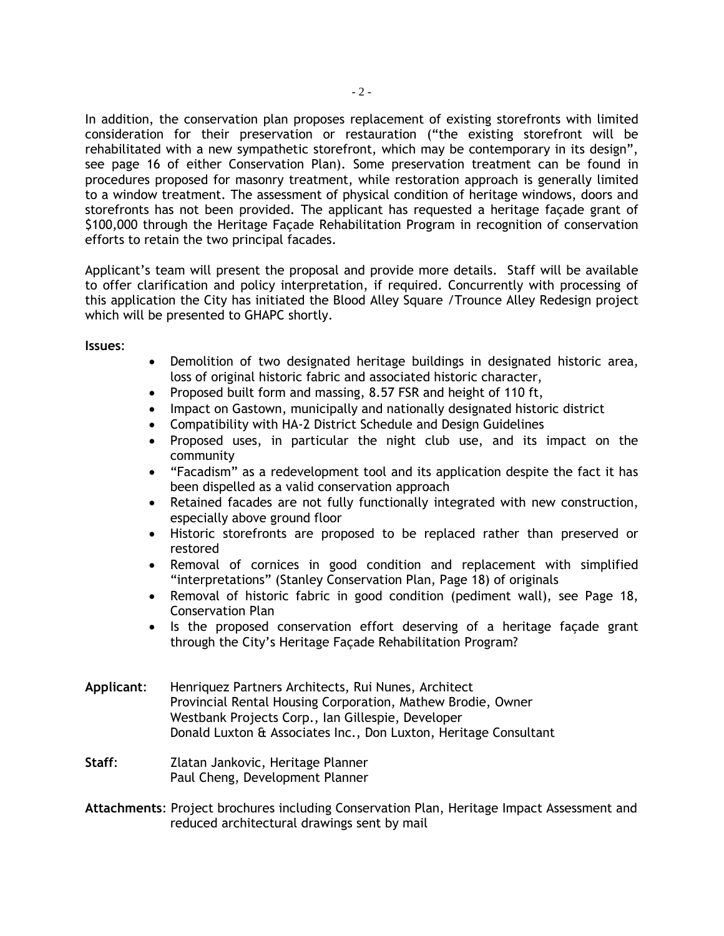In addition, the conservation plan proposes replacement of existing storefronts with limited consideration for their preservation or restauration ("the existing storefront will be rehabilitated with a new sympathetic storefront, which may be contemporary in its design", see page 16 of either Conservation Plan). Some preservation treatment can be found in procedures proposed for masonry treatment, while restoration approach is generally limited to a window treatment. The assessment of physical condition of heritage windows, doors and storefronts has not been provided. The applicant has requested a heritage façade grant of \$100,000 through the Heritage Façade Rehabilitation Program in recognition of conservation efforts to retain the two principal facades.

Applicant's team will present the proposal and provide more details. Staff will be available to offer clarification and policy interpretation, if required. Concurrently with processing of this application the City has initiated the Blood Alley Square /Trounce Alley Redesign project which will be presented to GHAPC shortly.

**Issues**:

- Demolition of two designated heritage buildings in designated historic area, loss of original historic fabric and associated historic character,
- Proposed built form and massing, 8.57 FSR and height of 110 ft,
- Impact on Gastown, municipally and nationally designated historic district
- Compatibility with HA-2 District Schedule and Design Guidelines
- Proposed uses, in particular the night club use, and its impact on the community
- "Facadism" as a redevelopment tool and its application despite the fact it has been dispelled as a valid conservation approach
- Retained facades are not fully functionally integrated with new construction, especially above ground floor
- Historic storefronts are proposed to be replaced rather than preserved or restored
- Removal of cornices in good condition and replacement with simplified "interpretations" (Stanley Conservation Plan, Page 18) of originals
- Removal of historic fabric in good condition (pediment wall), see Page 18, Conservation Plan
- Is the proposed conservation effort deserving of a heritage facade grant through the City's Heritage Façade Rehabilitation Program?
- **Applicant**: Henriquez Partners Architects, Rui Nunes, Architect Provincial Rental Housing Corporation, Mathew Brodie, Owner Westbank Projects Corp., Ian Gillespie, Developer Donald Luxton & Associates Inc., Don Luxton, Heritage Consultant
- **Staff**: Zlatan Jankovic, Heritage Planner Paul Cheng, Development Planner

**Attachments**: Project brochures including Conservation Plan, Heritage Impact Assessment and reduced architectural drawings sent by mail